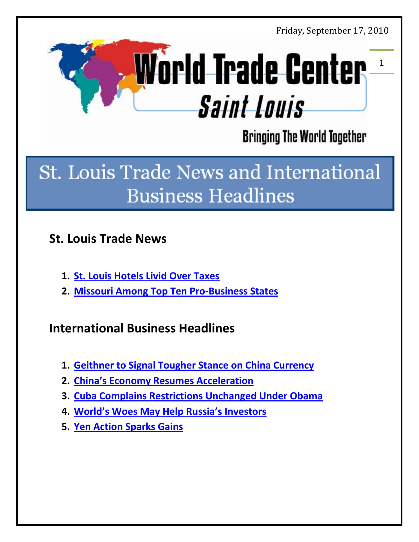<span id="page-0-0"></span>

**Bringing The World Together** 

# **St. Louis Trade News and International Business Headlines**

## **St. Louis Trade News**

- **1. [St. Louis Hotels Livid Over Taxes](#page-1-0)**
- **2. [Missouri Among Top Ten Pro-Business States](#page-1-1)**

**International Business Headlines**

- **1. [Geithner to Signal Tougher Stance on China Currency](#page-1-0)**
- **2. [China's Economy Resumes Acceleration](#page-6-0)**
- **3. [Cuba Complains Restrictions Unchanged Under Obama](#page-8-0)**
- **4. [World's Woes May Help Russia's Investors](#page-9-0)**
- **5. [Yen Action Sparks Gains](#page-13-0)**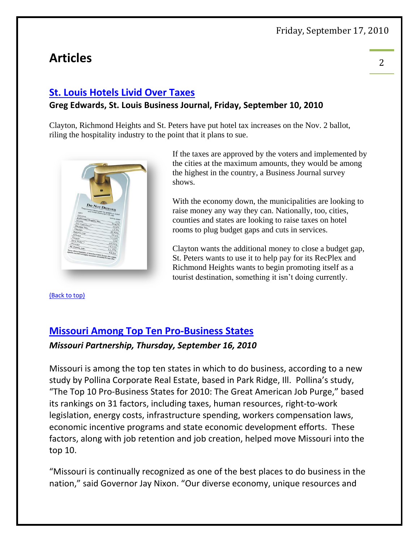#### **Articles** 2 **Articles**

### <span id="page-1-0"></span>**[St. Louis Hotels Livid Over Taxes](http://www.bizjournals.com/stlouis/stories/2010/09/13/story1.html)**

#### **Greg Edwards, St. Louis Business Journal, Friday, September 10, 2010**

Clayton, Richmond Heights and St. Peters have put hotel tax increases on the Nov. 2 ballot, riling the hospitality industry to the point that it plans to sue.



[\(Back to top\)](#page-0-0)

If the taxes are approved by the voters and implemented by the cities at the maximum amounts, they would be among the highest in the country, a Business Journal survey shows.

With the economy down, the municipalities are looking to raise money any way they can. Nationally, too, cities, counties and states are looking to raise taxes on hotel rooms to plug budget gaps and cuts in services.

Clayton wants the additional money to close a budget gap, St. Peters wants to use it to help pay for its RecPlex and Richmond Heights wants to begin promoting itself as a tourist destination, something it isn't doing currently.

### <span id="page-1-1"></span>**[Missouri Among Top Ten Pro-Business States](http://www.missouripartnership.com/Library/News/itemid/999/amid/713/missouri-among-top-ten-pro-business-states)** *Missouri Partnership, Thursday, September 16, 2010*

Missouri is among the top ten states in which to do business, according to a new study by Pollina Corporate Real Estate, based in Park Ridge, Ill. Pollina's study, "The Top 10 Pro-Business States for 2010: The Great American Job Purge," based its rankings on 31 factors, including taxes, human resources, right-to-work legislation, energy costs, infrastructure spending, workers compensation laws, economic incentive programs and state economic development efforts. These factors, along with job retention and job creation, helped move Missouri into the top 10.

"Missouri is continually recognized as one of the best places to do business in the nation," said Governor Jay Nixon. "Our diverse economy, unique resources and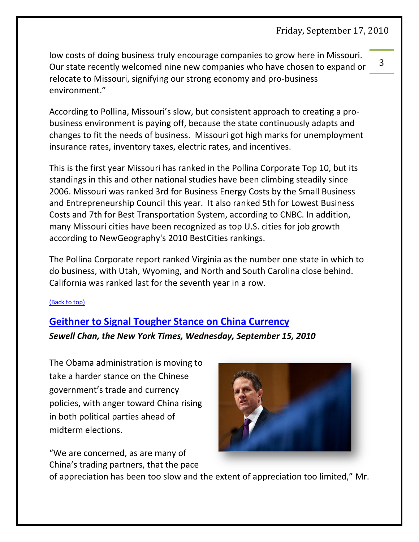3

low costs of doing business truly encourage companies to grow here in Missouri. Our state recently welcomed nine new companies who have chosen to expand or relocate to Missouri, signifying our strong economy and pro-business environment."

According to Pollina, Missouri's slow, but consistent approach to creating a probusiness environment is paying off, because the state continuously adapts and changes to fit the needs of business. Missouri got high marks for unemployment insurance rates, inventory taxes, electric rates, and incentives.

This is the first year Missouri has ranked in the Pollina Corporate Top 10, but its standings in this and other national studies have been climbing steadily since 2006. Missouri was ranked 3rd for Business Energy Costs by the Small Business and Entrepreneurship Council this year. It also ranked 5th for Lowest Business Costs and 7th for Best Transportation System, according to CNBC. In addition, many Missouri cities have been recognized as top U.S. cities for job growth according to NewGeography's 2010 BestCities rankings.

The Pollina Corporate report ranked Virginia as the number one state in which to do business, with Utah, Wyoming, and North and South Carolina close behind. California was ranked last for the seventh year in a row.

#### [\(Back to top\)](#page-0-0)

### **[Geithner to Signal Tougher Stance on China Currency](http://www.nytimes.com/2010/09/16/business/global/16yuan.html?src=mv)** *Sewell Chan, the New York Times, Wednesday, September 15, 2010*

The Obama administration is moving to take a harder stance on the Chinese government's trade and currency policies, with anger toward China rising in both political parties ahead of midterm elections.

"We are concerned, as are many of China's trading partners, that the pace



of appreciation has been too slow and the extent of appreciation too limited," Mr.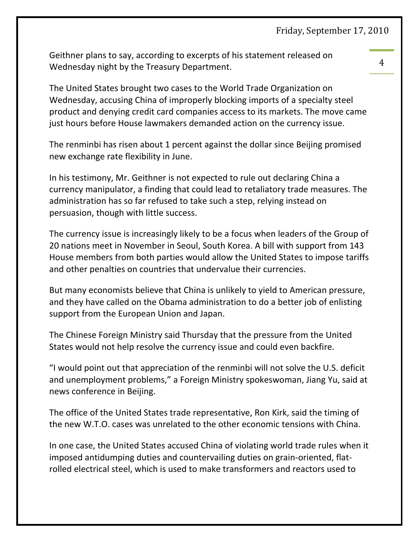Geithner plans to say, according to excerpts of his statement released on Wednesday night by the Treasury Department.

The United States brought two cases to the World Trade Organization on Wednesday, accusing China of improperly blocking imports of a specialty steel product and denying credit card companies access to its markets. The move came just hours before House lawmakers demanded action on the currency issue.

The renminbi has risen about 1 percent against the dollar since Beijing promised new exchange rate flexibility in June.

In his testimony, Mr. Geithner is not expected to rule out declaring China a currency manipulator, a finding that could lead to retaliatory trade measures. The administration has so far refused to take such a step, relying instead on persuasion, though with little success.

The currency issue is increasingly likely to be a focus when leaders of the Group of 20 nations meet in November in Seoul, South Korea. A bill with support from 143 House members from both parties would allow the United States to impose tariffs and other penalties on countries that undervalue their currencies.

But many economists believe that China is unlikely to yield to American pressure, and they have called on the Obama administration to do a better job of enlisting support from the European Union and Japan.

The Chinese Foreign Ministry said Thursday that the pressure from the United States would not help resolve the currency issue and could even backfire.

"I would point out that appreciation of the renminbi will not solve the U.S. deficit and unemployment problems," a Foreign Ministry spokeswoman, Jiang Yu, said at news conference in Beijing.

The office of the United States trade representative, Ron Kirk, said the timing of the new W.T.O. cases was unrelated to the other economic tensions with China.

In one case, the United States accused China of violating world trade rules when it imposed antidumping duties and countervailing duties on grain-oriented, flatrolled electrical steel, which is used to make transformers and reactors used to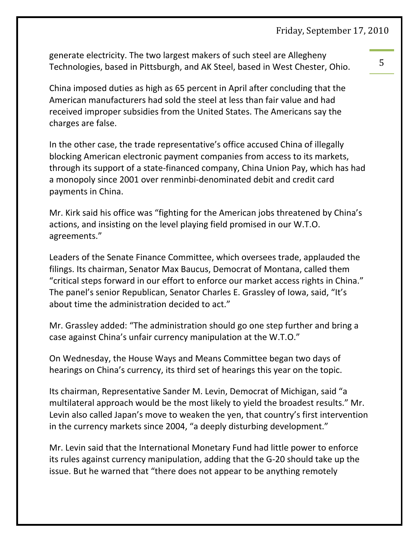generate electricity. The two largest makers of such steel are Allegheny Technologies, based in Pittsburgh, and AK Steel, based in West Chester, Ohio.

China imposed duties as high as 65 percent in April after concluding that the American manufacturers had sold the steel at less than fair value and had received improper subsidies from the United States. The Americans say the charges are false.

In the other case, the trade representative's office accused China of illegally blocking American electronic payment companies from access to its markets, through its support of a state-financed company, China Union Pay, which has had a monopoly since 2001 over renminbi-denominated debit and credit card payments in China.

Mr. Kirk said his office was "fighting for the American jobs threatened by China's actions, and insisting on the level playing field promised in our W.T.O. agreements."

Leaders of the Senate Finance Committee, which oversees trade, applauded the filings. Its chairman, Senator Max Baucus, Democrat of Montana, called them "critical steps forward in our effort to enforce our market access rights in China." The panel's senior Republican, Senator Charles E. Grassley of Iowa, said, "It's about time the administration decided to act."

Mr. Grassley added: "The administration should go one step further and bring a case against China's unfair currency manipulation at the W.T.O."

On Wednesday, the House Ways and Means Committee began two days of hearings on China's currency, its third set of hearings this year on the topic.

Its chairman, Representative Sander M. Levin, Democrat of Michigan, said "a multilateral approach would be the most likely to yield the broadest results." Mr. Levin also called Japan's move to weaken the yen, that country's first intervention in the currency markets since 2004, "a deeply disturbing development."

Mr. Levin said that the International Monetary Fund had little power to enforce its rules against currency manipulation, adding that the G-20 should take up the issue. But he warned that "there does not appear to be anything remotely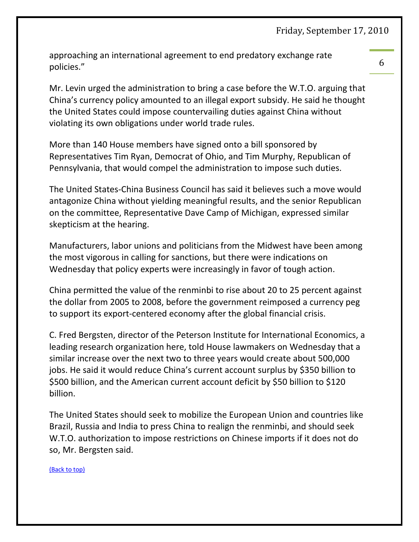approaching an international agreement to end predatory exchange rate policies."

Mr. Levin urged the administration to bring a case before the W.T.O. arguing that China's currency policy amounted to an illegal export subsidy. He said he thought the United States could impose countervailing duties against China without violating its own obligations under world trade rules.

More than 140 House members have signed onto a bill sponsored by Representatives Tim Ryan, Democrat of Ohio, and Tim Murphy, Republican of Pennsylvania, that would compel the administration to impose such duties.

The United States-China Business Council has said it believes such a move would antagonize China without yielding meaningful results, and the senior Republican on the committee, Representative Dave Camp of Michigan, expressed similar skepticism at the hearing.

Manufacturers, labor unions and politicians from the Midwest have been among the most vigorous in calling for sanctions, but there were indications on Wednesday that policy experts were increasingly in favor of tough action.

China permitted the value of the renminbi to rise about 20 to 25 percent against the dollar from 2005 to 2008, before the government reimposed a currency peg to support its export-centered economy after the global financial crisis.

C. Fred Bergsten, director of the Peterson Institute for International Economics, a leading research organization here, told House lawmakers on Wednesday that a similar increase over the next two to three years would create about 500,000 jobs. He said it would reduce China's current account surplus by \$350 billion to \$500 billion, and the American current account deficit by \$50 billion to \$120 billion.

The United States should seek to mobilize the European Union and countries like Brazil, Russia and India to press China to realign the renminbi, and should seek W.T.O. authorization to impose restrictions on Chinese imports if it does not do so, Mr. Bergsten said.

[\(Back to top\)](#page-0-0)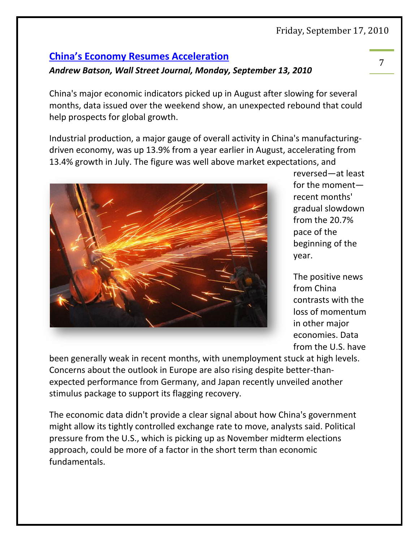### <span id="page-6-0"></span>**[China's Economy Resumes Acceleration](http://online.wsj.com/article/SB10001424052748703897204575487350817633606.html?mod=rss_economy)**

#### *Andrew Batson, Wall Street Journal, Monday, September 13, 2010*

China's major economic indicators picked up in August after slowing for several months, data issued over the weekend show, an unexpected rebound that could help prospects for global growth.

Industrial production, a major gauge of overall activity in China's manufacturingdriven economy, was up 13.9% from a year earlier in August, accelerating from 13.4% growth in July. The figure was well above market expectations, and



reversed—at least for the moment recent months' gradual slowdown from the 20.7% pace of the beginning of the year.

The positive news from China contrasts with the loss of momentum in other major economies. Data from the U.S. have

been generally weak in recent months, with unemployment stuck at high levels. Concerns about the outlook in Europe are also rising despite better-thanexpected performance from Germany, and Japan recently unveiled another stimulus package to support its flagging recovery.

The economic data didn't provide a clear signal about how China's government might allow its tightly controlled exchange rate to move, analysts said. Political pressure from the U.S., which is picking up as November midterm elections approach, could be more of a factor in the short term than economic fundamentals.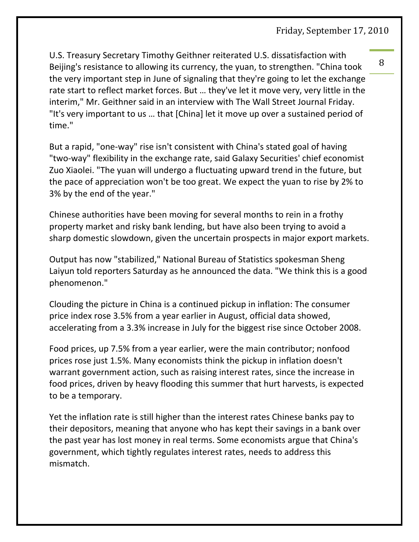U.S. Treasury Secretary Timothy Geithner reiterated U.S. dissatisfaction with Beijing's resistance to allowing its currency, the yuan, to strengthen. "China took the very important step in June of signaling that they're going to let the exchange rate start to reflect market forces. But … they've let it move very, very little in the interim," Mr. Geithner said in an interview with The Wall Street Journal Friday. "It's very important to us … that [China] let it move up over a sustained period of time."

But a rapid, "one-way" rise isn't consistent with China's stated goal of having "two-way" flexibility in the exchange rate, said Galaxy Securities' chief economist Zuo Xiaolei. "The yuan will undergo a fluctuating upward trend in the future, but the pace of appreciation won't be too great. We expect the yuan to rise by 2% to 3% by the end of the year."

Chinese authorities have been moving for several months to rein in a frothy property market and risky bank lending, but have also been trying to avoid a sharp domestic slowdown, given the uncertain prospects in major export markets.

Output has now "stabilized," National Bureau of Statistics spokesman Sheng Laiyun told reporters Saturday as he announced the data. "We think this is a good phenomenon."

Clouding the picture in China is a continued pickup in inflation: The consumer price index rose 3.5% from a year earlier in August, official data showed, accelerating from a 3.3% increase in July for the biggest rise since October 2008.

Food prices, up 7.5% from a year earlier, were the main contributor; nonfood prices rose just 1.5%. Many economists think the pickup in inflation doesn't warrant government action, such as raising interest rates, since the increase in food prices, driven by heavy flooding this summer that hurt harvests, is expected to be a temporary.

Yet the inflation rate is still higher than the interest rates Chinese banks pay to their depositors, meaning that anyone who has kept their savings in a bank over the past year has lost money in real terms. Some economists argue that China's government, which tightly regulates interest rates, needs to address this mismatch.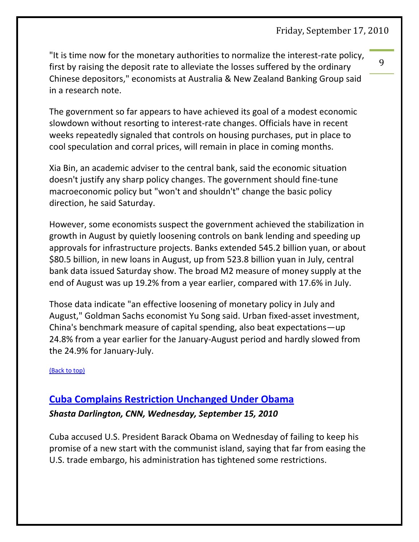"It is time now for the monetary authorities to normalize the interest-rate policy, first by raising the deposit rate to alleviate the losses suffered by the ordinary Chinese depositors," economists at Australia & New Zealand Banking Group said in a research note.

The government so far appears to have achieved its goal of a modest economic slowdown without resorting to interest-rate changes. Officials have in recent weeks repeatedly signaled that controls on housing purchases, put in place to cool speculation and corral prices, will remain in place in coming months.

Xia Bin, an academic adviser to the central bank, said the economic situation doesn't justify any sharp policy changes. The government should fine-tune macroeconomic policy but "won't and shouldn't" change the basic policy direction, he said Saturday.

However, some economists suspect the government achieved the stabilization in growth in August by quietly loosening controls on bank lending and speeding up approvals for infrastructure projects. Banks extended 545.2 billion yuan, or about \$80.5 billion, in new loans in August, up from 523.8 billion yuan in July, central bank data issued Saturday show. The broad M2 measure of money supply at the end of August was up 19.2% from a year earlier, compared with 17.6% in July.

Those data indicate "an effective loosening of monetary policy in July and August," Goldman Sachs economist Yu Song said. Urban fixed-asset investment, China's benchmark measure of capital spending, also beat expectations—up 24.8% from a year earlier for the January-August period and hardly slowed from the 24.9% for January-July.

#### [\(Back to top\)](#page-0-0)

### <span id="page-8-0"></span>**[Cuba Complains Restriction Unchanged Under Obama](http://edition.cnn.com/2010/WORLD/americas/09/15/cuba.embargo.obama/index.html)** *Shasta Darlington, CNN, Wednesday, September 15, 2010*

Cuba accused U.S. President Barack Obama on Wednesday of failing to keep his promise of a new start with the communist island, saying that far from easing the U.S. trade embargo, his administration has tightened some restrictions.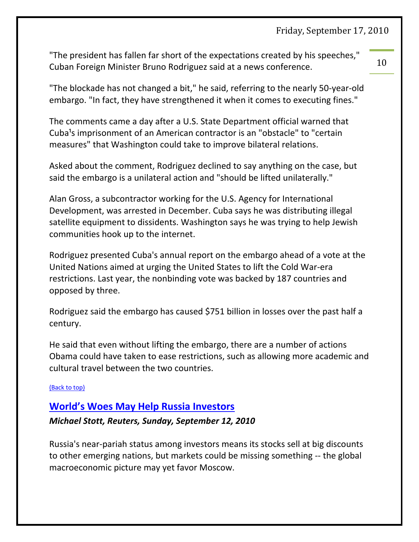"The president has fallen far short of the expectations created by his speeches," Cuban Foreign Minister Bruno Rodriguez said at a news conference.

"The blockade has not changed a bit," he said, referring to the nearly 50-year-old embargo. "In fact, they have strengthened it when it comes to executing fines."

The comments came a day after a U.S. State Department official warned that Cuba<sup>1</sup>s imprisonment of an American contractor is an "obstacle" to "certain measures" that Washington could take to improve bilateral relations.

Asked about the comment, Rodriguez declined to say anything on the case, but said the embargo is a unilateral action and "should be lifted unilaterally."

Alan Gross, a subcontractor working for the U.S. Agency for International Development, was arrested in December. Cuba says he was distributing illegal satellite equipment to dissidents. Washington says he was trying to help Jewish communities hook up to the internet.

Rodriguez presented Cuba's annual report on the embargo ahead of a vote at the United Nations aimed at urging the United States to lift the Cold War-era restrictions. Last year, the nonbinding vote was backed by 187 countries and opposed by three.

Rodriguez said the embargo has caused \$751 billion in losses over the past half a century.

He said that even without lifting the embargo, there are a number of actions Obama could have taken to ease restrictions, such as allowing more academic and cultural travel between the two countries.

#### [\(Back to top\)](#page-0-0)

#### <span id="page-9-0"></span>**[World's Woes May Help Russia In](http://www.reuters.com/article/idUSTRE68B12U20100912)vestors**

#### *Michael Stott, Reuters, Sunday, September 12, 2010*

Russia's near-pariah status among investors means its stocks sell at big discounts to other emerging nations, but markets could be missing something -- the global macroeconomic picture may yet favor Moscow.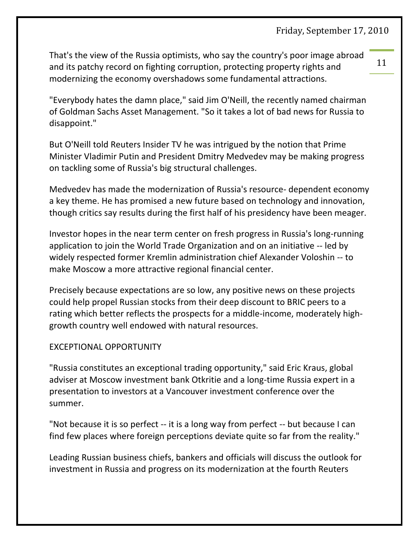11 That's the view of the Russia optimists, who say the country's poor image abroad and its patchy record on fighting corruption, protecting property rights and modernizing the economy overshadows some fundamental attractions.

"Everybody hates the damn place," said Jim O'Neill, the recently named chairman of Goldman Sachs Asset Management. "So it takes a lot of bad news for Russia to disappoint."

But O'Neill told Reuters Insider TV he was intrigued by the notion that Prime Minister Vladimir Putin and President Dmitry Medvedev may be making progress on tackling some of Russia's big structural challenges.

Medvedev has made the modernization of Russia's resource- dependent economy a key theme. He has promised a new future based on technology and innovation, though critics say results during the first half of his presidency have been meager.

Investor hopes in the near term center on fresh progress in Russia's long-running application to join the World Trade Organization and on an initiative -- led by widely respected former Kremlin administration chief Alexander Voloshin -- to make Moscow a more attractive regional financial center.

Precisely because expectations are so low, any positive news on these projects could help propel Russian stocks from their deep discount to BRIC peers to a rating which better reflects the prospects for a middle-income, moderately highgrowth country well endowed with natural resources.

#### EXCEPTIONAL OPPORTUNITY

"Russia constitutes an exceptional trading opportunity," said Eric Kraus, global adviser at Moscow investment bank Otkritie and a long-time Russia expert in a presentation to investors at a Vancouver investment conference over the summer.

"Not because it is so perfect -- it is a long way from perfect -- but because I can find few places where foreign perceptions deviate quite so far from the reality."

Leading Russian business chiefs, bankers and officials will discuss the outlook for investment in Russia and progress on its modernization at the fourth Reuters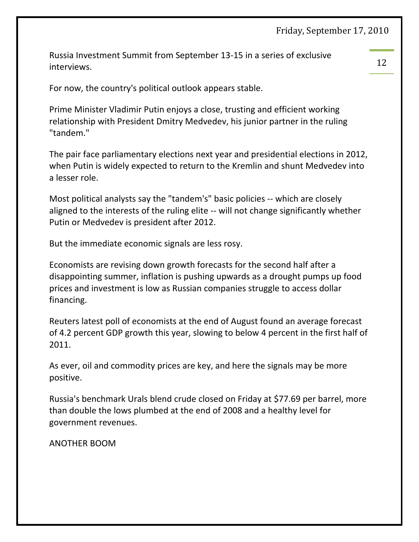Russia Investment Summit from September 13-15 in a series of exclusive interviews.

12

For now, the country's political outlook appears stable.

Prime Minister Vladimir Putin enjoys a close, trusting and efficient working relationship with President Dmitry Medvedev, his junior partner in the ruling "tandem."

The pair face parliamentary elections next year and presidential elections in 2012, when Putin is widely expected to return to the Kremlin and shunt Medvedev into a lesser role.

Most political analysts say the "tandem's" basic policies -- which are closely aligned to the interests of the ruling elite -- will not change significantly whether Putin or Medvedev is president after 2012.

But the immediate economic signals are less rosy.

Economists are revising down growth forecasts for the second half after a disappointing summer, inflation is pushing upwards as a drought pumps up food prices and investment is low as Russian companies struggle to access dollar financing.

Reuters latest poll of economists at the end of August found an average forecast of 4.2 percent GDP growth this year, slowing to below 4 percent in the first half of 2011.

As ever, oil and commodity prices are key, and here the signals may be more positive.

Russia's benchmark Urals blend crude closed on Friday at \$77.69 per barrel, more than double the lows plumbed at the end of 2008 and a healthy level for government revenues.

ANOTHER BOOM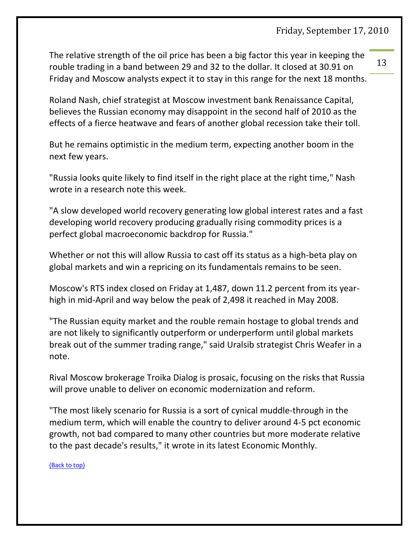13 The relative strength of the oil price has been a big factor this year in keeping the rouble trading in a band between 29 and 32 to the dollar. It closed at 30.91 on Friday and Moscow analysts expect it to stay in this range for the next 18 months.

Roland Nash, chief strategist at Moscow investment bank Renaissance Capital, believes the Russian economy may disappoint in the second half of 2010 as the effects of a fierce heatwave and fears of another global recession take their toll.

But he remains optimistic in the medium term, expecting another boom in the next few years.

"Russia looks quite likely to find itself in the right place at the right time," Nash wrote in a research note this week.

"A slow developed world recovery generating low global interest rates and a fast developing world recovery producing gradually rising commodity prices is a perfect global macroeconomic backdrop for Russia."

Whether or not this will allow Russia to cast off its status as a high-beta play on global markets and win a repricing on its fundamentals remains to be seen.

Moscow's RTS index closed on Friday at 1,487, down 11.2 percent from its yearhigh in mid-April and way below the peak of 2,498 it reached in May 2008.

"The Russian equity market and the rouble remain hostage to global trends and are not likely to significantly outperform or underperform until global markets break out of the summer trading range," said Uralsib strategist Chris Weafer in a note.

Rival Moscow brokerage Troika Dialog is prosaic, focusing on the risks that Russia will prove unable to deliver on economic modernization and reform.

"The most likely scenario for Russia is a sort of cynical muddle-through in the medium term, which will enable the country to deliver around 4-5 pct economic growth, not bad compared to many other countries but more moderate relative to the past decade's results," it wrote in its latest Economic Monthly.

[\(Back to top\)](#page-0-0)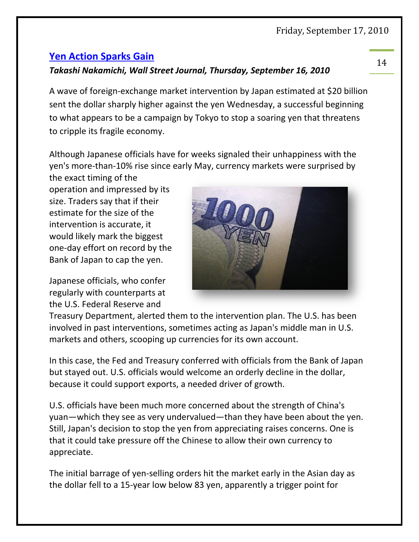### <span id="page-13-0"></span><sup>14</sup> **[Yen Action Sparks Gain](http://online.wsj.com/article/SB10001424052748703743504575492992638900572.html)**

### *Takashi Nakamichi, Wall Street Journal, Thursday, September 16, 2010*

A wave of foreign-exchange market intervention by Japan estimated at \$20 billion sent the dollar sharply higher against the yen Wednesday, a successful beginning to what appears to be a campaign by Tokyo to stop a soaring yen that threatens to cripple its fragile economy.

Although Japanese officials have for weeks signaled their unhappiness with the yen's more-than-10% rise since early May, currency markets were surprised by the exact timing of the

operation and impressed by its size. Traders say that if their estimate for the size of the intervention is accurate, it would likely mark the biggest one-day effort on record by the Bank of Japan to cap the yen.

Japanese officials, who confer regularly with counterparts at the U.S. Federal Reserve and



Treasury Department, alerted them to the intervention plan. The U.S. has been involved in past interventions, sometimes acting as Japan's middle man in U.S. markets and others, scooping up currencies for its own account.

In this case, the Fed and Treasury conferred with officials from the Bank of Japan but stayed out. U.S. officials would welcome an orderly decline in the dollar, because it could support exports, a needed driver of growth.

U.S. officials have been much more concerned about the strength of China's yuan—which they see as very undervalued—than they have been about the yen. Still, Japan's decision to stop the yen from appreciating raises concerns. One is that it could take pressure off the Chinese to allow their own currency to appreciate.

The initial barrage of yen-selling orders hit the market early in the Asian day as the dollar fell to a 15-year low below 83 yen, apparently a trigger point for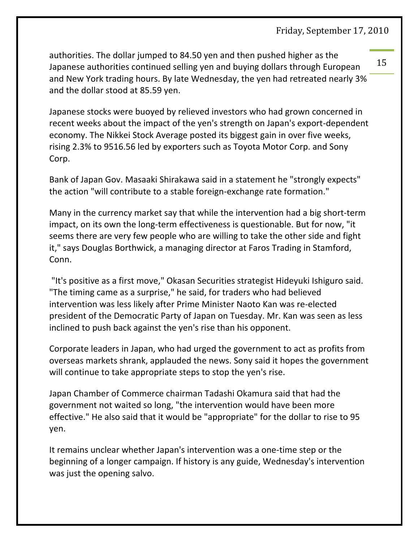authorities. The dollar jumped to 84.50 yen and then pushed higher as the Japanese authorities continued selling yen and buying dollars through European and New York trading hours. By late Wednesday, the yen had retreated nearly 3% and the dollar stood at 85.59 yen.

Japanese stocks were buoyed by relieved investors who had grown concerned in recent weeks about the impact of the yen's strength on Japan's export-dependent economy. The Nikkei Stock Average posted its biggest gain in over five weeks, rising 2.3% to 9516.56 led by exporters such as Toyota Motor Corp. and Sony Corp.

Bank of Japan Gov. Masaaki Shirakawa said in a statement he "strongly expects" the action "will contribute to a stable foreign-exchange rate formation."

Many in the currency market say that while the intervention had a big short-term impact, on its own the long-term effectiveness is questionable. But for now, "it seems there are very few people who are willing to take the other side and fight it," says Douglas Borthwick, a managing director at Faros Trading in Stamford, Conn.

"It's positive as a first move," Okasan Securities strategist Hideyuki Ishiguro said. "The timing came as a surprise," he said, for traders who had believed intervention was less likely after Prime Minister Naoto Kan was re-elected president of the Democratic Party of Japan on Tuesday. Mr. Kan was seen as less inclined to push back against the yen's rise than his opponent.

Corporate leaders in Japan, who had urged the government to act as profits from overseas markets shrank, applauded the news. Sony said it hopes the government will continue to take appropriate steps to stop the yen's rise.

Japan Chamber of Commerce chairman Tadashi Okamura said that had the government not waited so long, "the intervention would have been more effective." He also said that it would be "appropriate" for the dollar to rise to 95 yen.

It remains unclear whether Japan's intervention was a one-time step or the beginning of a longer campaign. If history is any guide, Wednesday's intervention was just the opening salvo.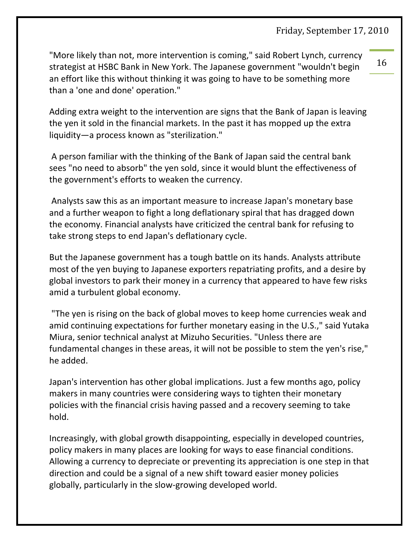16 "More likely than not, more intervention is coming," said Robert Lynch, currency strategist at HSBC Bank in New York. The Japanese government "wouldn't begin an effort like this without thinking it was going to have to be something more than a 'one and done' operation."

Adding extra weight to the intervention are signs that the Bank of Japan is leaving the yen it sold in the financial markets. In the past it has mopped up the extra liquidity—a process known as "sterilization."

A person familiar with the thinking of the Bank of Japan said the central bank sees "no need to absorb" the yen sold, since it would blunt the effectiveness of the government's efforts to weaken the currency.

Analysts saw this as an important measure to increase Japan's monetary base and a further weapon to fight a long deflationary spiral that has dragged down the economy. Financial analysts have criticized the central bank for refusing to take strong steps to end Japan's deflationary cycle.

But the Japanese government has a tough battle on its hands. Analysts attribute most of the yen buying to Japanese exporters repatriating profits, and a desire by global investors to park their money in a currency that appeared to have few risks amid a turbulent global economy.

"The yen is rising on the back of global moves to keep home currencies weak and amid continuing expectations for further monetary easing in the U.S.," said Yutaka Miura, senior technical analyst at Mizuho Securities. "Unless there are fundamental changes in these areas, it will not be possible to stem the yen's rise," he added.

Japan's intervention has other global implications. Just a few months ago, policy makers in many countries were considering ways to tighten their monetary policies with the financial crisis having passed and a recovery seeming to take hold.

Increasingly, with global growth disappointing, especially in developed countries, policy makers in many places are looking for ways to ease financial conditions. Allowing a currency to depreciate or preventing its appreciation is one step in that direction and could be a signal of a new shift toward easier money policies globally, particularly in the slow-growing developed world.